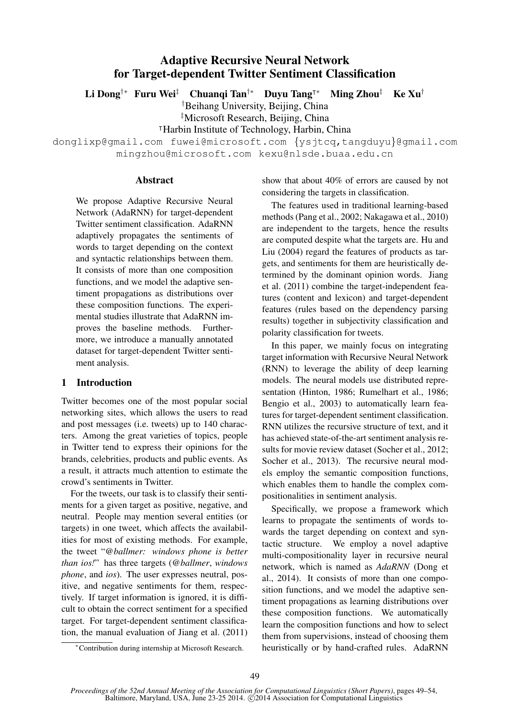# Adaptive Recursive Neural Network for Target-dependent Twitter Sentiment Classification

Li Dong<sup>†∗</sup> Furu Wei<sup>‡</sup> Chuangi Tan<sup>†∗</sup> Duyu Tang<sup>†∗</sup> Ming Zhou<sup>‡</sup> Ke Xu<sup>†</sup>

†Beihang University, Beijing, China

‡Microsoft Research, Beijing, China

<sup>|</sup>Harbin Institute of Technology, Harbin, China

donglixp@gmail.com fuwei@microsoft.com {ysjtcq,tangduyu}@gmail.com mingzhou@microsoft.com kexu@nlsde.buaa.edu.cn

## **Abstract**

We propose Adaptive Recursive Neural Network (AdaRNN) for target-dependent Twitter sentiment classification. AdaRNN adaptively propagates the sentiments of words to target depending on the context and syntactic relationships between them. It consists of more than one composition functions, and we model the adaptive sentiment propagations as distributions over these composition functions. The experimental studies illustrate that AdaRNN improves the baseline methods. Furthermore, we introduce a manually annotated dataset for target-dependent Twitter sentiment analysis.

# 1 Introduction

Twitter becomes one of the most popular social networking sites, which allows the users to read and post messages (i.e. tweets) up to 140 characters. Among the great varieties of topics, people in Twitter tend to express their opinions for the brands, celebrities, products and public events. As a result, it attracts much attention to estimate the crowd's sentiments in Twitter.

For the tweets, our task is to classify their sentiments for a given target as positive, negative, and neutral. People may mention several entities (or targets) in one tweet, which affects the availabilities for most of existing methods. For example, the tweet "*@ballmer: windows phone is better than ios!*" has three targets (*@ballmer*, *windows phone*, and *ios*). The user expresses neutral, positive, and negative sentiments for them, respectively. If target information is ignored, it is difficult to obtain the correct sentiment for a specified target. For target-dependent sentiment classification, the manual evaluation of Jiang et al. (2011) show that about 40% of errors are caused by not considering the targets in classification.

The features used in traditional learning-based methods (Pang et al., 2002; Nakagawa et al., 2010) are independent to the targets, hence the results are computed despite what the targets are. Hu and Liu (2004) regard the features of products as targets, and sentiments for them are heuristically determined by the dominant opinion words. Jiang et al. (2011) combine the target-independent features (content and lexicon) and target-dependent features (rules based on the dependency parsing results) together in subjectivity classification and polarity classification for tweets.

In this paper, we mainly focus on integrating target information with Recursive Neural Network (RNN) to leverage the ability of deep learning models. The neural models use distributed representation (Hinton, 1986; Rumelhart et al., 1986; Bengio et al., 2003) to automatically learn features for target-dependent sentiment classification. RNN utilizes the recursive structure of text, and it has achieved state-of-the-art sentiment analysis results for movie review dataset (Socher et al., 2012; Socher et al., 2013). The recursive neural models employ the semantic composition functions, which enables them to handle the complex compositionalities in sentiment analysis.

Specifically, we propose a framework which learns to propagate the sentiments of words towards the target depending on context and syntactic structure. We employ a novel adaptive multi-compositionality layer in recursive neural network, which is named as *AdaRNN* (Dong et al., 2014). It consists of more than one composition functions, and we model the adaptive sentiment propagations as learning distributions over these composition functions. We automatically learn the composition functions and how to select them from supervisions, instead of choosing them heuristically or by hand-crafted rules. AdaRNN

<sup>∗</sup>Contribution during internship at Microsoft Research.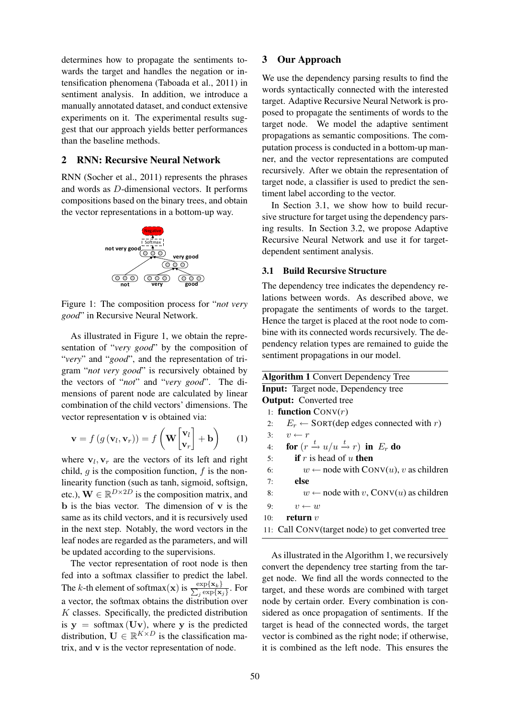determines how to propagate the sentiments towards the target and handles the negation or intensification phenomena (Taboada et al., 2011) in sentiment analysis. In addition, we introduce a manually annotated dataset, and conduct extensive experiments on it. The experimental results suggest that our approach yields better performances than the baseline methods.

## 2 RNN: Recursive Neural Network

RNN (Socher et al., 2011) represents the phrases and words as D-dimensional vectors. It performs compositions based on the binary trees, and obtain the vector representations in a bottom-up way.



Figure 1: The composition process for "*not very good*" in Recursive Neural Network.

As illustrated in Figure 1, we obtain the representation of "*very good*" by the composition of "*very*" and "*good*", and the representation of trigram "*not very good*" is recursively obtained by the vectors of "*not*" and "*very good*". The dimensions of parent node are calculated by linear combination of the child vectors' dimensions. The vector representation v is obtained via:

$$
\mathbf{v} = f(g(\mathbf{v}_l, \mathbf{v}_r)) = f\left(\mathbf{W} \begin{bmatrix} \mathbf{v}_l \\ \mathbf{v}_r \end{bmatrix} + \mathbf{b}\right) \qquad (1)
$$

where  $v_l$ ,  $v_r$  are the vectors of its left and right child,  $q$  is the composition function,  $f$  is the nonlinearity function (such as tanh, sigmoid, softsign, etc.),  $\mathbf{W} \in \mathbb{R}^{D \times 2D}$  is the composition matrix, and  $\mathbf b$  is the bias vector. The dimension of  $\mathbf v$  is the same as its child vectors, and it is recursively used in the next step. Notably, the word vectors in the leaf nodes are regarded as the parameters, and will be updated according to the supervisions.

The vector representation of root node is then fed into a softmax classifier to predict the label. The k-th element of softmax(x) is  $\frac{\exp{\{x_k\}}}{\sum_i \exp{\{x_i\}}}$  $\frac{\exp\{\mathbf{x}_k\}}{j}\exp\{\mathbf{x}_j\}$ . For a vector, the softmax obtains the distribution over  $K$  classes. Specifically, the predicted distribution is  $y = softmax(Uv)$ , where y is the predicted distribution,  $\mathbf{U} \in \mathbb{R}^{K \times D}$  is the classification matrix, and v is the vector representation of node.

## 3 Our Approach

We use the dependency parsing results to find the words syntactically connected with the interested target. Adaptive Recursive Neural Network is proposed to propagate the sentiments of words to the target node. We model the adaptive sentiment propagations as semantic compositions. The computation process is conducted in a bottom-up manner, and the vector representations are computed recursively. After we obtain the representation of target node, a classifier is used to predict the sentiment label according to the vector.

In Section 3.1, we show how to build recursive structure for target using the dependency parsing results. In Section 3.2, we propose Adaptive Recursive Neural Network and use it for targetdependent sentiment analysis.

# 3.1 Build Recursive Structure

The dependency tree indicates the dependency relations between words. As described above, we propagate the sentiments of words to the target. Hence the target is placed at the root node to combine with its connected words recursively. The dependency relation types are remained to guide the sentiment propagations in our model.

| <b>Algorithm 1 Convert Dependency Tree</b> |                                                             |  |  |
|--------------------------------------------|-------------------------------------------------------------|--|--|
|                                            | <b>Input:</b> Target node, Dependency tree                  |  |  |
| <b>Output:</b> Converted tree              |                                                             |  |  |
| 1: <b>function</b> $Conv(r)$               |                                                             |  |  |
| 2:                                         | $E_r \leftarrow$ SORT(dep edges connected with r)           |  |  |
| 3:                                         | $v \leftarrow r$                                            |  |  |
| 4:                                         | for $(r \xrightarrow{t} u/u \xrightarrow{t} r)$ in $E_r$ do |  |  |
| 5:                                         | <b>if</b> r is head of u <b>then</b>                        |  |  |
| 6:                                         | $w \leftarrow$ node with CONV(u), v as children             |  |  |
| 7:                                         | else                                                        |  |  |
| 8:                                         | $w \leftarrow$ node with v, CONV(u) as children             |  |  |
| 9:                                         | $v \leftarrow w$                                            |  |  |
| 10:                                        | return $v$                                                  |  |  |
|                                            | 11: Call CONV(target node) to get converted tree            |  |  |

As illustrated in the Algorithm 1, we recursively convert the dependency tree starting from the target node. We find all the words connected to the target, and these words are combined with target node by certain order. Every combination is considered as once propagation of sentiments. If the target is head of the connected words, the target vector is combined as the right node; if otherwise, it is combined as the left node. This ensures the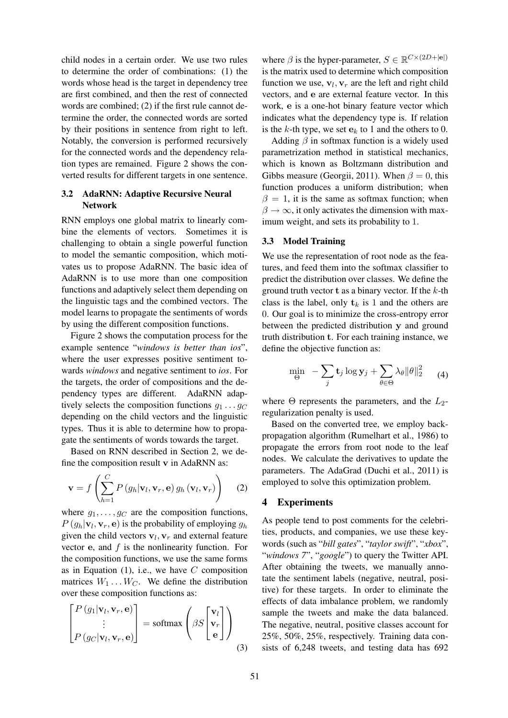child nodes in a certain order. We use two rules to determine the order of combinations: (1) the words whose head is the target in dependency tree are first combined, and then the rest of connected words are combined; (2) if the first rule cannot determine the order, the connected words are sorted by their positions in sentence from right to left. Notably, the conversion is performed recursively for the connected words and the dependency relation types are remained. Figure 2 shows the converted results for different targets in one sentence.

# 3.2 AdaRNN: Adaptive Recursive Neural Network

RNN employs one global matrix to linearly combine the elements of vectors. Sometimes it is challenging to obtain a single powerful function to model the semantic composition, which motivates us to propose AdaRNN. The basic idea of AdaRNN is to use more than one composition functions and adaptively select them depending on the linguistic tags and the combined vectors. The model learns to propagate the sentiments of words by using the different composition functions.

Figure 2 shows the computation process for the example sentence "*windows is better than ios*", where the user expresses positive sentiment towards *windows* and negative sentiment to *ios*. For the targets, the order of compositions and the dependency types are different. AdaRNN adaptively selects the composition functions  $g_1 \dots g_C$ depending on the child vectors and the linguistic types. Thus it is able to determine how to propagate the sentiments of words towards the target.

Based on RNN described in Section 2, we define the composition result v in AdaRNN as:

$$
\mathbf{v} = f\left(\sum_{h=1}^{C} P\left(g_h|\mathbf{v}_l, \mathbf{v}_r, \mathbf{e}\right) g_h\left(\mathbf{v}_l, \mathbf{v}_r\right)\right) \quad (2)
$$

where  $g_1, \ldots, g_C$  are the composition functions,  $P(g_h|\mathbf{v}_l, \mathbf{v}_r, \mathbf{e})$  is the probability of employing  $g_h$ given the child vectors  $v_l$ ,  $v_r$  and external feature vector  $e$ , and  $f$  is the nonlinearity function. For the composition functions, we use the same forms as in Equation  $(1)$ , i.e., we have C composition matrices  $W_1 \dots W_C$ . We define the distribution over these composition functions as:

$$
\begin{bmatrix} P(g_1|\mathbf{v}_l, \mathbf{v}_r, \mathbf{e}) \\ \vdots \\ P(g_C|\mathbf{v}_l, \mathbf{v}_r, \mathbf{e}) \end{bmatrix} = \text{softmax}\left(\beta S \begin{bmatrix} \mathbf{v}_l \\ \mathbf{v}_r \\ \mathbf{e} \end{bmatrix}\right) \tag{3}
$$

where  $\beta$  is the hyper-parameter,  $S \in \mathbb{R}^{C \times (2D + |\mathbf{e}|)}$ is the matrix used to determine which composition function we use,  $v_l$ ,  $v_r$  are the left and right child vectors, and e are external feature vector. In this work, e is a one-hot binary feature vector which indicates what the dependency type is. If relation is the k-th type, we set  $e_k$  to 1 and the others to 0.

Adding  $\beta$  in softmax function is a widely used parametrization method in statistical mechanics, which is known as Boltzmann distribution and Gibbs measure (Georgii, 2011). When  $\beta = 0$ , this function produces a uniform distribution; when  $\beta = 1$ , it is the same as softmax function; when  $\beta \rightarrow \infty$ , it only activates the dimension with maximum weight, and sets its probability to 1.

#### 3.3 Model Training

We use the representation of root node as the features, and feed them into the softmax classifier to predict the distribution over classes. We define the ground truth vector **t** as a binary vector. If the  $k$ -th class is the label, only  $t_k$  is 1 and the others are 0. Our goal is to minimize the cross-entropy error between the predicted distribution y and ground truth distribution t. For each training instance, we define the objective function as:

$$
\min_{\Theta} \quad -\sum_{j} \mathbf{t}_{j} \log \mathbf{y}_{j} + \sum_{\theta \in \Theta} \lambda_{\theta} \|\theta\|_{2}^{2} \qquad (4)
$$

where  $\Theta$  represents the parameters, and the  $L_2$ regularization penalty is used.

Based on the converted tree, we employ backpropagation algorithm (Rumelhart et al., 1986) to propagate the errors from root node to the leaf nodes. We calculate the derivatives to update the parameters. The AdaGrad (Duchi et al., 2011) is employed to solve this optimization problem.

# 4 Experiments

As people tend to post comments for the celebrities, products, and companies, we use these keywords (such as "*bill gates*", "*taylor swift*", "*xbox*", "*windows 7*", "*google*") to query the Twitter API. After obtaining the tweets, we manually annotate the sentiment labels (negative, neutral, positive) for these targets. In order to eliminate the effects of data imbalance problem, we randomly sample the tweets and make the data balanced. The negative, neutral, positive classes account for 25%, 50%, 25%, respectively. Training data consists of 6,248 tweets, and testing data has 692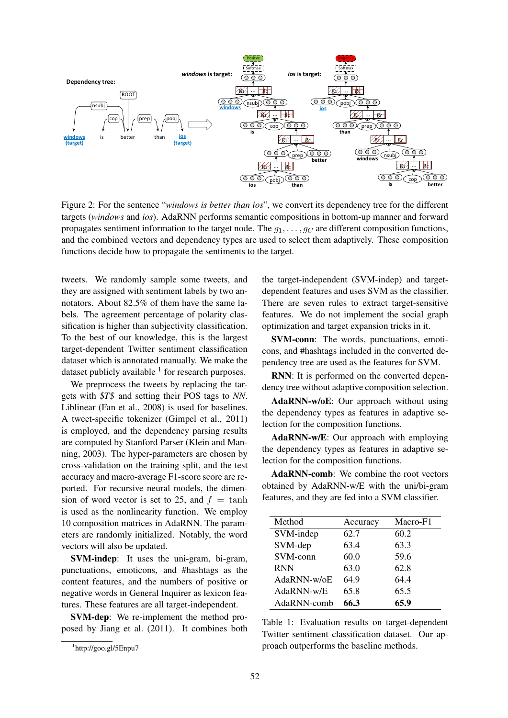

Figure 2: For the sentence "*windows is better than ios*", we convert its dependency tree for the different targets (*windows* and *ios*). AdaRNN performs semantic compositions in bottom-up manner and forward propagates sentiment information to the target node. The  $q_1, \ldots, q_C$  are different composition functions, and the combined vectors and dependency types are used to select them adaptively. These composition functions decide how to propagate the sentiments to the target.

tweets. We randomly sample some tweets, and they are assigned with sentiment labels by two annotators. About 82.5% of them have the same labels. The agreement percentage of polarity classification is higher than subjectivity classification. To the best of our knowledge, this is the largest target-dependent Twitter sentiment classification dataset which is annotated manually. We make the dataset publicly available  $<sup>1</sup>$  for research purposes.</sup>

We preprocess the tweets by replacing the targets with \$*T*\$ and setting their POS tags to *NN*. Liblinear (Fan et al., 2008) is used for baselines. A tweet-specific tokenizer (Gimpel et al., 2011) is employed, and the dependency parsing results are computed by Stanford Parser (Klein and Manning, 2003). The hyper-parameters are chosen by cross-validation on the training split, and the test accuracy and macro-average F1-score score are reported. For recursive neural models, the dimension of word vector is set to 25, and  $f = \tanh$ is used as the nonlinearity function. We employ 10 composition matrices in AdaRNN. The parameters are randomly initialized. Notably, the word vectors will also be updated.

SVM-indep: It uses the uni-gram, bi-gram, punctuations, emoticons, and #hashtags as the content features, and the numbers of positive or negative words in General Inquirer as lexicon features. These features are all target-independent.

SVM-dep: We re-implement the method proposed by Jiang et al. (2011). It combines both

the target-independent (SVM-indep) and targetdependent features and uses SVM as the classifier. There are seven rules to extract target-sensitive features. We do not implement the social graph optimization and target expansion tricks in it.

SVM-conn: The words, punctuations, emoticons, and #hashtags included in the converted dependency tree are used as the features for SVM.

RNN: It is performed on the converted dependency tree without adaptive composition selection.

AdaRNN-w/oE: Our approach without using the dependency types as features in adaptive selection for the composition functions.

AdaRNN-w/E: Our approach with employing the dependency types as features in adaptive selection for the composition functions.

AdaRNN-comb: We combine the root vectors obtained by AdaRNN-w/E with the uni/bi-gram features, and they are fed into a SVM classifier.

| Method      | Accuracy | Macro-F1 |
|-------------|----------|----------|
| SVM-indep   | 62.7     | 60.2     |
| SVM-dep     | 63.4     | 63.3     |
| SVM-conn    | 60.0     | 59.6     |
| <b>RNN</b>  | 63.0     | 62.8     |
| AdaRNN-w/oE | 64.9     | 64.4     |
| AdaRNN-w/E  | 65.8     | 65.5     |
| AdaRNN-comb | 66.3     | 65.9     |

Table 1: Evaluation results on target-dependent Twitter sentiment classification dataset. Our approach outperforms the baseline methods.

<sup>1</sup> http://goo.gl/5Enpu7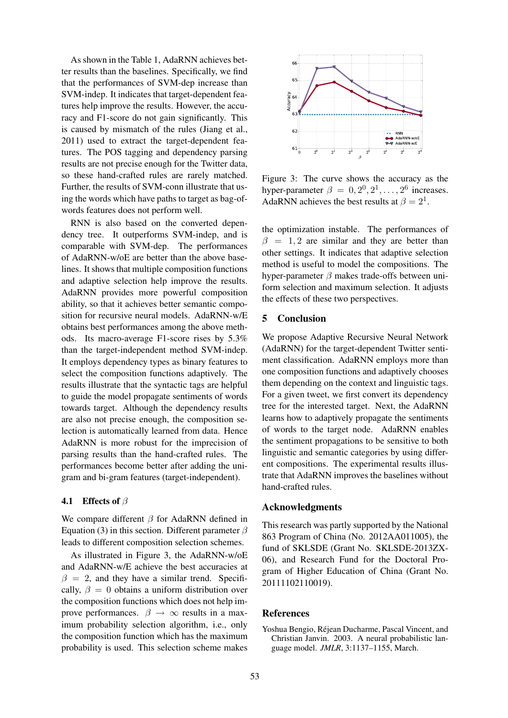As shown in the Table 1, AdaRNN achieves better results than the baselines. Specifically, we find that the performances of SVM-dep increase than SVM-indep. It indicates that target-dependent features help improve the results. However, the accuracy and F1-score do not gain significantly. This is caused by mismatch of the rules (Jiang et al., 2011) used to extract the target-dependent features. The POS tagging and dependency parsing results are not precise enough for the Twitter data, so these hand-crafted rules are rarely matched. Further, the results of SVM-conn illustrate that using the words which have paths to target as bag-ofwords features does not perform well.

RNN is also based on the converted dependency tree. It outperforms SVM-indep, and is comparable with SVM-dep. The performances of AdaRNN-w/oE are better than the above baselines. It shows that multiple composition functions and adaptive selection help improve the results. AdaRNN provides more powerful composition ability, so that it achieves better semantic composition for recursive neural models. AdaRNN-w/E obtains best performances among the above methods. Its macro-average F1-score rises by 5.3% than the target-independent method SVM-indep. It employs dependency types as binary features to select the composition functions adaptively. The results illustrate that the syntactic tags are helpful to guide the model propagate sentiments of words towards target. Although the dependency results are also not precise enough, the composition selection is automatically learned from data. Hence AdaRNN is more robust for the imprecision of parsing results than the hand-crafted rules. The performances become better after adding the unigram and bi-gram features (target-independent).

# **4.1** Effects of  $\beta$

We compare different  $\beta$  for AdaRNN defined in Equation (3) in this section. Different parameter  $\beta$ leads to different composition selection schemes.

As illustrated in Figure 3, the AdaRNN-w/oE and AdaRNN-w/E achieve the best accuracies at  $\beta = 2$ , and they have a similar trend. Specifically,  $\beta = 0$  obtains a uniform distribution over the composition functions which does not help improve performances.  $\beta \rightarrow \infty$  results in a maximum probability selection algorithm, i.e., only the composition function which has the maximum probability is used. This selection scheme makes



Figure 3: The curve shows the accuracy as the hyper-parameter  $\beta = 0, 2^0, 2^1, \dots, 2^6$  increases. AdaRNN achieves the best results at  $\beta = 2^1$ .

the optimization instable. The performances of  $\beta = 1, 2$  are similar and they are better than other settings. It indicates that adaptive selection method is useful to model the compositions. The hyper-parameter  $\beta$  makes trade-offs between uniform selection and maximum selection. It adjusts the effects of these two perspectives.

# 5 Conclusion

We propose Adaptive Recursive Neural Network (AdaRNN) for the target-dependent Twitter sentiment classification. AdaRNN employs more than one composition functions and adaptively chooses them depending on the context and linguistic tags. For a given tweet, we first convert its dependency tree for the interested target. Next, the AdaRNN learns how to adaptively propagate the sentiments of words to the target node. AdaRNN enables the sentiment propagations to be sensitive to both linguistic and semantic categories by using different compositions. The experimental results illustrate that AdaRNN improves the baselines without hand-crafted rules.

## Acknowledgments

This research was partly supported by the National 863 Program of China (No. 2012AA011005), the fund of SKLSDE (Grant No. SKLSDE-2013ZX-06), and Research Fund for the Doctoral Program of Higher Education of China (Grant No. 20111102110019).

# References

Yoshua Bengio, Rejean Ducharme, Pascal Vincent, and ´ Christian Janvin. 2003. A neural probabilistic language model. *JMLR*, 3:1137–1155, March.